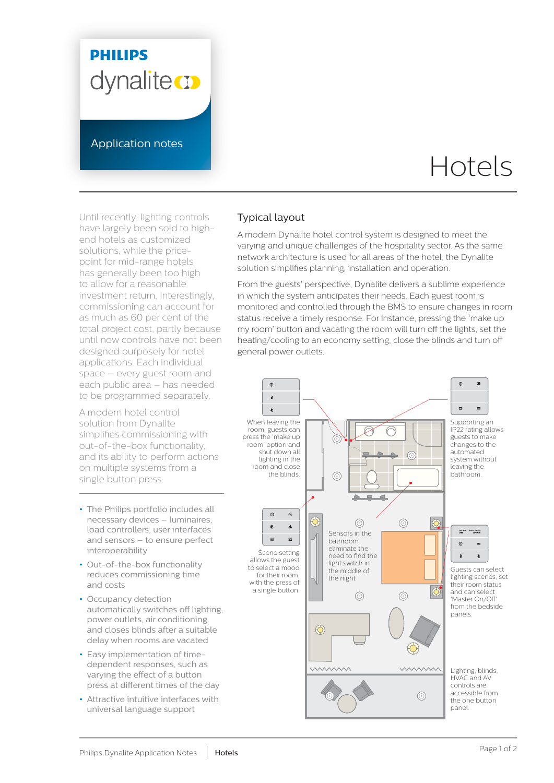## **PHILIPS** dynalite **or**

Application notes

# Hotels

Until recently, lighting controls have largely been sold to highend hotels as customized solutions, while the pricepoint for mid-range hotels has generally been too high to allow for a reasonable investment return. Interestingly, commissioning can account for as much as 60 per cent of the total project cost, partly because until now controls have not been designed purposely for hotel applications. Each individual space – every guest room and each public area – has needed to be programmed separately.

A modern hotel control solution from Dynalite simplifies commissioning with out-of-the-box functionality, and its ability to perform actions on multiple systems from a single button press.

- **•** The Philips portfolio includes all necessary devices – luminaires, load controllers, user interfaces and sensors – to ensure perfect interoperability
- **•** Out-of-the-box functionality reduces commissioning time and costs
- **•** Occupancy detection automatically switches off lighting, power outlets, air conditioning and closes blinds after a suitable delay when rooms are vacated
- **•** Easy implementation of timedependent responses, such as varying the effect of a button press at different times of the day
- **•** Attractive intuitive interfaces with universal language support

#### Typical layout

A modern Dynalite hotel control system is designed to meet the varying and unique challenges of the hospitality sector. As the same network architecture is used for all areas of the hotel, the Dynalite solution simplifies planning, installation and operation.

From the guests' perspective, Dynalite delivers a sublime experience in which the system anticipates their needs. Each guest room is monitored and controlled through the BMS to ensure changes in room status receive a timely response. For instance, pressing the 'make up my room' button and vacating the room will turn off the lights, set the heating/cooling to an economy setting, close the blinds and turn off general power outlets.